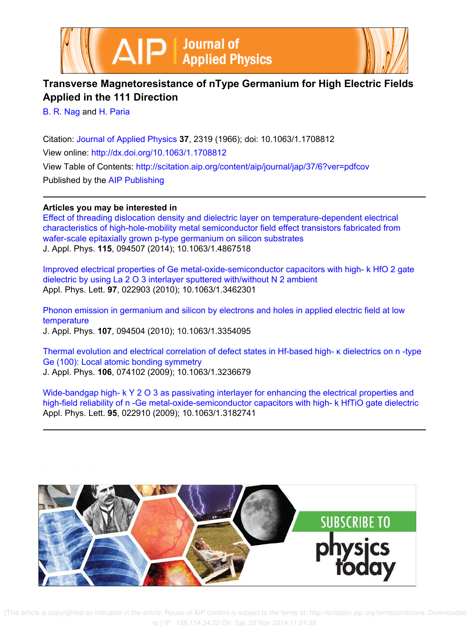



## **Transverse Magnetoresistance of nType Germanium for High Electric Fields Applied in the 111 Direction**

B. R. Nag and H. Paria

Citation: Journal of Applied Physics **37**, 2319 (1966); doi: 10.1063/1.1708812 View online: http://dx.doi.org/10.1063/1.1708812 View Table of Contents: http://scitation.aip.org/content/aip/journal/jap/37/6?ver=pdfcov Published by the AIP Publishing

## **Articles you may be interested in**

Effect of threading dislocation density and dielectric layer on temperature-dependent electrical characteristics of high-hole-mobility metal semiconductor field effect transistors fabricated from wafer-scale epitaxially grown p-type germanium on silicon substrates J. Appl. Phys. **115**, 094507 (2014); 10.1063/1.4867518

Improved electrical properties of Ge metal-oxide-semiconductor capacitors with high- k HfO 2 gate dielectric by using La 2 O 3 interlayer sputtered with/without N 2 ambient Appl. Phys. Lett. **97**, 022903 (2010); 10.1063/1.3462301

Phonon emission in germanium and silicon by electrons and holes in applied electric field at low temperature J. Appl. Phys. **107**, 094504 (2010); 10.1063/1.3354095

Thermal evolution and electrical correlation of defect states in Hf-based high- κ dielectrics on n -type Ge (100): Local atomic bonding symmetry J. Appl. Phys. **106**, 074102 (2009); 10.1063/1.3236679

Wide-bandgap high- k Y 2 O 3 as passivating interlayer for enhancing the electrical properties and high-field reliability of n -Ge metal-oxide-semiconductor capacitors with high- k HfTiO gate dielectric Appl. Phys. Lett. **95**, 022910 (2009); 10.1063/1.3182741



 [This article is copyrighted as indicated in the article. Reuse of AIP content is subject to the terms at: http://scitation.aip.org/termsconditions. Downloaded to ] IP: 128.114.34.22 On: Sat, 22 Nov 2014 11:31:38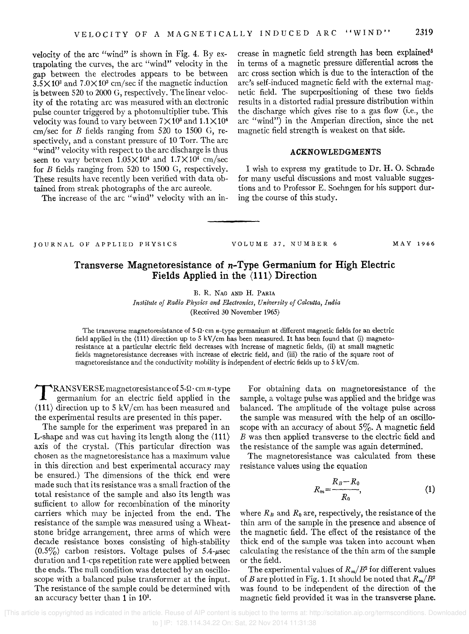velocity of the arc "wind" is shown in Fig. 4. By extrapolating the curves, the arc "wind" velocity in the gap between the electrodes appears to be between  $3.5 \times 10^3$  and  $7.0 \times 10^3$  cm/sec if the magnetic induction is between 520 to 2000 G, respectively. The linear velocity of the rotating arc was measured with an electronic pulse counter triggered by a photomultiplier tube. This velocity was found to vary between  $7 \times 10^3$  and  $1.1 \times 10^4$ cm/sec for *B* fields ranging from 520 to 1500 G, respectively, and a constant pressure of 10 Torr. The arc "wind" velocity with respect to the arc discharge is thus seen to vary between  $1.05 \times 10^4$  and  $1.7 \times 10^4$  cm/sec for B fields ranging from 520 to 1500 G, respectively. These results have recently been verified with data obtained from streak photographs of the arc aureole.

The increase of the arc "wind" velocity with an in-

crease in magnetic field strength has been explained<sup>5</sup> in terms of a magnetic pressure differential across the arc cross section which is due to the interaction of the arc's self-induced magnetic field with the external magnetic field. The superpositioning of these two fields results in a distorted radial pressure distribution within the discharge which gives rise to a gas flow (i.e., the arc "wind") in the Amperian direction, since the net magnetic field strength is weakest on that side.

## **ACKNOWLEDGMENTS**

I wish to express my gratitude to Dr. H. O. Schrade for many useful discussions and most valuable suggestions and to Professor E. Soehngen for his support during the course of this study.

JOURNAL OF APPLIED PHYSlCS

VOLUME 37. NUMBER 6 MAY 1966

## **Transverse Magnetoresistance of** *n-***Type Germanium for High Electric Fields Applied in the (111) Direction**

B. R. NAG AND H. PARIA

*Institute of Radio Physics and Electronics, University of Calcutta, India*  (Received 30 November 1965)

The transverse magnetoresistance of  $5\Omega$ · cm *n*-type germanium at different magnetic fields for an electric field applied in the  $(111)$  direction up to 5 kV/cm has been measured. It has been found that (i) magnetoresistance at a particular electric field decreases with increase of magnetic fields, (ii) at small magnetic fields magnetoresistance decreases with increase of electric field, and (iii) the ratio of the square root of magneto resistance and the conductivity mobility is independent of electric fields up to 5 kV *fcm.* 

 $\prod_{i=1}^n$ **RANSVERSE** magnetoresistance of  $5-\Omega$  cm *n*-type germanium for an electric field applied in the  $\langle 111 \rangle$  direction up to 5 kV/cm has been measured and the experimental results are presented in this paper.

The sample for the experiment was prepared in an **L**-shape and was cut having its length along the  $\langle 111 \rangle$ axis of the crystal. (This particular direction was chosen as the magnetoresistance has a maximum value in this direction and best experimental accuracy may be ensured.) The dimensions of the thick end were made such that its resistance was a small fraction of the total resistance of the sample and also its length was sufficient to allow for recombination of the minority carriers which may be injected from the end. The resistance of the sample was measured using a Wheatstone bridge arrangement, three arms of which were decade resistance boxes consisting of high-stability  $(0.5\%)$  carbon resistors. Voltage pulses of 5.4- $\mu$ sec duration and 1-cps repetition rate were applied between the ends. The null condition was detected by an oscilloscope with a balanced pulse transformer at the input. The resistance of the sample could be determined with an accuracy better than 1 in 10<sup>3</sup>.

For obtaining data on magnetoresistance of the sample, a voltage pulse was applied and the bridge was balanced. The amplitude of the voltage pulse across the sample was measured with the help of an oscilloscope with an accuracy of about  $5\%$ . A magnetic field B was then applied transverse to the electric field and the resistance of the sample was again determined.

The magnetoresistance was calculated from these resistance values using the equation

$$
R_m = \frac{R_B - R_0}{R_0},\tag{1}
$$

where  $R_B$  and  $R_0$  are, respectively, the resistance of the thin arm of the sample in the presence and absence of the magnetic field. The effect of the resistance of the thick end of the sample was taken into account when calculating the resistance of the thin arm of the sample or the field.

The experimental values of  $R_m/B^2$  for different values of *B* are plotted in Fig. 1. It should be noted that *Rm/ B2*  was found to be independent of the direction of the magnetic field provided it was in the transverse plane.